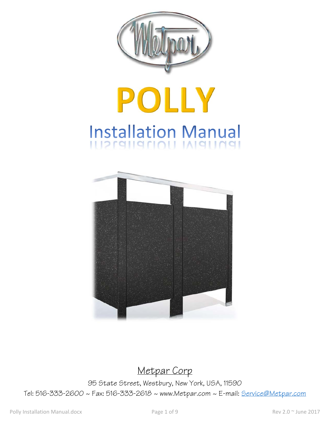

# POLLY Installation Manual



Metpar Corp

95 State Street, Westbury, New York, USA, 11590 Tel: 516-333-2600 ~ Fax: 516-333-2618 ~ www.Metpar.com ~ E-mail: Service@Metpar.com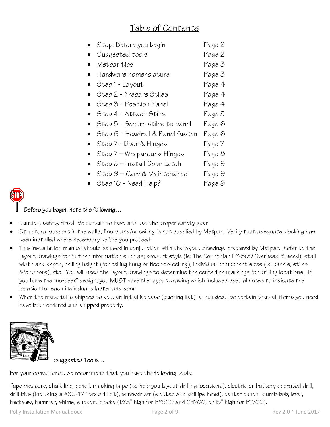## Table of Contents

| Stop! Before you begin           | Page 2 |
|----------------------------------|--------|
| Suggested tools                  | Page 2 |
| Metpar tips                      | Page 3 |
| Hardware nomenclature            | Page 3 |
| Step 1 - Layout                  | Page 4 |
| Step 2 - Prepare Stiles          | Page 4 |
| Step 3 - Position Panel          | Page 4 |
| Step 4 - Attach Stiles           | Page 5 |
| Step 5 - Secure stiles to panel  | Page 6 |
| Step 6 - Headrail & Panel fasten | Page 6 |
| Step 7 - Door & Hinges           | Page 7 |
| Step 7 – Wraparound Hinges       | Page 8 |
| $Step 8$ – Install Door Latch    | Page 9 |
| Step 9 – Care & Maintenance      | Page 9 |
| Step 10 - Need Help?             | Page 9 |



### Before you begin, note the following…

- Caution, safety first! Be certain to have and use the proper safety gear.
- Structural support in the walls, floors and/or ceiling is not supplied by Metpar. Verify that adequate blocking has been installed where necessary before you proceed.
- This installation manual should be used in conjunction with the layout drawings prepared by Metpar. Refer to the layout drawings for further information such as; product style (ie: The Corinthian FP-500 Overhead Braced), stall width and depth, ceiling height (for ceiling hung or floor-to-ceiling), individual component sizes (ie: panels, stiles &/or doors), etc. You will need the layout drawings to determine the centerline markings for drilling locations. If you have the "no-peek" design, you MUST have the layout drawing which includes special notes to indicate the location for each individual pilaster and door.
- When the material is shipped to you, an Initial Release (packing list) is included. Be certain that all items you need have been ordered and shipped properly.



Suggested Tools…

For your convenience, we recommend that you have the following tools;

Tape measure, chalk line, pencil, masking tape (to help you layout drilling locations), electric or battery operated drill, drill bits (including a #30-T7 Torx drill bit), screwdriver (slotted and phillips head), center punch, plumb-bob, level, hacksaw, hammer, shims, support blocks (13½" high for FP500 and CH700, or 15" high for FT700).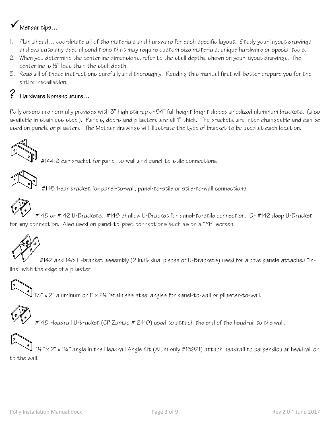# Metpar tips…

- 1. Plan ahead… coordinate all of the materials and hardware for each specific layout. Study your layout drawings and evaluate any special conditions that may require custom size materials, unique hardware or special tools.
- 2. When you determine the centerline dimensions, refer to the stall depths shown on your layout drawings. The centerline is ½" less than the stall depth.
- 3. Read all of these instructions carefully and thoroughly. Reading this manual first will better prepare you for the entire installation.

## ? Hardware Nomenclature…

Polly orders are normally provided with 3" high stirrup or 54" full height bright dipped anodized aluminum brackets. (also available in stainless steel). Panels, doors and pilasters are all 1" thick. The brackets are inter-changeable and can be used on panels or pilasters. The Metpar drawings will illustrate the type of bracket to be used at each location.



#144 2-ear bracket for panel-to-wall and panel-to-stile connections.



#145 1-ear bracket for panel-to-wall, panel-to-stile or stile-to-wall connections.



 #148 or #142 U-Brackets. #148 shallow U-Bracket for panel-to-stile connection. Or #142 deep U-Bracket for any connection. Also used on panel-to-post connections such as on a "PF" screen.



#142 and 148 H-bracket assembly (2 individual pieces of U-Brackets) used for alcove panels attached "inline" with the edge of a pilaster.

1½" x 2" aluminum or 1" x 2¼"stainless steel angles for panel-to-wall or pilaster-to-wall.



#148 Headrail U-bracket (CP Zamac #12410) used to attach the end of the headrail to the wall.

 1½" x 2" x 1¼" angle in the Headrail Angle Kit (Alum only #15921) attach headrail to perpendicular headrail or to the wall.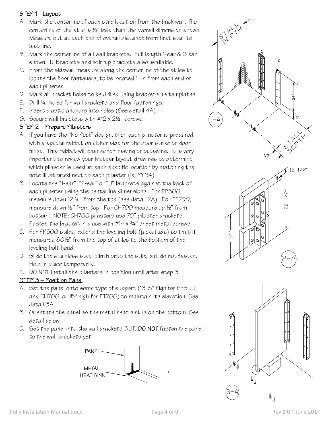#### STEP 1 - Layout

- A. Mark the centerline of each stile location from the back wall. The centerline of the stile is ½" less than the overall dimension shown. Measure out at each end of overall distance from first stall to last line.
- B. Mark the centerline of all wall brackets. Full length 1-ear & 2-ear shown. U-Brackets and stirrup brackets also available.
- C. From the sidewall measure along the centerline of the stiles to locate the floor fasteners, to be located 1" in from each end of each pilaster.
- D. Mark all bracket holes to be drilled using brackets as templates.
- E. Drill ¼" holes for wall brackets and floor fastenings.
- F. Insert plastic anchors into holes (See detail 4A).
- G. Secure wall brackets with #12 x 2½" screws.

#### STEP 2 — Prepare Pilasters

- A. If you have the "No Peek" design, then each pilaster is prepared with a special rabbet on either side for the door strike or door hinge. This rabbet will change for inswing or outswing. It is very important to review your Metpar layout drawings to determine which pilaster is used at each specific location by matching the note illustrated next to each pilaster (ie; PYS4).
- B. Locate the "1-ear", "2-ear" or "U" brackets against the back of each pilaster using the centerline dimensions. For FP500, measure down 12 ½" from the top (see detail 2A). For FT700, measure down ½" from top. For CH700 measure up ½" from bottom. NOTE: CH700 pilasters use 70" pilaster brackets. Fasten the bracket in place with  $#14 \times 34$ " sheet metal screws.
- C. For FP500 stiles, extend the leveling bolt (jackstuds) so that it measures 80½" from the top of stiles to the bottom of the leveling bolt head.
- D. Slide the stainless steel plinth onto the stile, but do not fasten. Hold in place temporarily.
- E. DO NOT install the pilasters in position until after step 3.

#### STEP 3 — Position Panel

- A. Set the panel onto some type of support  $(13 \frac{1}{2}^{\circ}$  high for FY500 and CH700, or 15" high for FT700) to maintain its elevation. See detail 3A.
- B. Orientate the panel so the metal heat sink is on the bottom. See detail below.
- C. Set the panel into the wall brackets BUT, DO NOT fasten the panel to the wall brackets yet.







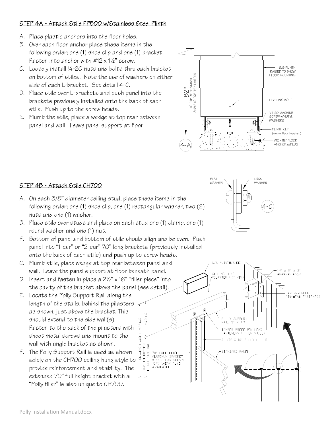#### STEP 4A - Attach Stile FP500 w/Stainless Steel Plinth

- A. Place plastic anchors into the floor holes.
- B. Over each floor anchor place these items in the following order; one (1) shoe clip and one (1) bracket. Fasten into anchor with  $#12 \times 1\frac{1}{2}$ " screw.
- C. Loosely install ¼-20 nuts and bolts thru each bracket on bottom of stiles. Note the use of washers on either side of each L-bracket. See detail 4-C.
- D. Place stile over L-brackets and push panel into the brackets previously installed onto the back of each stile. Push up to the screw heads.
- E. Plumb the stile, place a wedge at top rear between panel and wall. Leave panel support at floor.



#### STEP 4B - Attach Stile CH700

- A. On each 3/8" diameter ceiling stud, place these items in the following order; one (1) shoe clip, one (1) rectangular washer, two (2) nuts and one (1) washer.
- B. Place stile over studs and place on each stud one (1) clamp, one (1) round washer and one (1) nut.
- F. Bottom of panel and bottom of stile should align and be even. Push panel into "1-ear" or "2-ear" 70" long brackets (previously installed onto the back of each stile) and push up to screw heads.

VARIES

IGHT

Ŧ

- C. Plumb stile, place wedge at top rear between panel and wall. Leave the panel support at floor beneath panel.
- D. Insert and fasten in place a 2½" x 16" "filler piece" into the cavity of the bracket above the panel (see detail)
- E. Locate the Polly Support Rail along the length of the stalls, behind the pilasters as shown, just above the bracket. This should extend to the side wall(s). Fasten to the back of the pilasters with sheet metal screws and mount to the wall with angle bracket as shown.
- F. The Polly Support Rail is used as shown solely on the CH700 ceiling hung style to provide reinforcement and stability. The extended 70" full height bracket with a "Polly filler" is also unique to CH700.



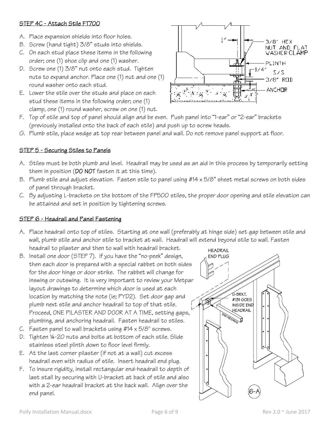#### STEP 4C - Attach Stile FT700

- A. Place expansion shields into floor holes.
- B. Screw (hand tight) 3/8" studs into shields.
- C. On each stud place these items in the following order; one (1) shoe clip and one (1) washer.
- D. Screw one (1) 3/8" nut onto each stud. Tighten nuts to expand anchor. Place one (1) nut and one (1) round washer onto each stud.
- E. Lower the stile over the studs and place on each stud these items in the following order; one (1) clamp, one (1) round washer, screw on one (1) nut.



- F. Top of stile and top of panel should align and be even. Push panel into "1-ear" or "2-ear" brackets (previously installed onto the back of each stile) and push up to screw heads.
- G. Plumb stile, place wedge at top rear between panel and wall. Do not remove panel support at floor.

#### STEP 5 - Securing Stiles to Panels

- A. Stiles must be both plumb and level. Headrail may be used as an aid in this process by temporarily setting them in position (DO NOT fasten it at this time).
- B. Plumb stile and adjust elevation. Fasten stile to panel using #14 x 5/8" sheet metal screws on both sides of panel through bracket.
- C. By adjusting L-brackets on the bottom of the FP500 stiles, the proper door opening and stile elevation can be attained and set in position by tightening screws.

#### STEP 6 - Headrail and Panel Fastening

- A. Place headrail onto top of stiles. Starting at one wall (preferably at hinge side) set gap between stile and wall, plumb stile and anchor stile to bracket at wall. Headrail will extend beyond stile to wall. Fasten headrail to pilaster and then to wall with headrail bracket.
- B. Install one door (STEP 7). If you have the "no-peek" design, then each door is prepared with a special rabbet on both sides for the door hinge or door strike. The rabbet will change for inswing or outswing. It is very important to review your Metpar layout drawings to determine which door is used at each location by matching the note (ie; PYD2). Set door gap and plumb next stile and anchor headrail to top of that stile. Proceed, ONE PILASTER AND DOOR AT A TIME, setting gaps, plumbing, and anchoring headrail. Fasten headrail to stiles.
- C. Fasten panel to wall brackets using  $#14 \times 5/8$ " screws.
- D. Tighten ¼-20 nuts and bolts at bottom of each stile. Slide stainless steel plinth down to floor level firmly.
- E. At the last corner pilaster (if not at a wall) cut excess headrail even with radius of stile. Insert headrail end plug.
- F. To insure rigidity, install rectangular end-headrail to depth of last stall by securing with U-bracket at back of stile and also with a 2-ear headrail bracket at the back wall. Align over the end panel.

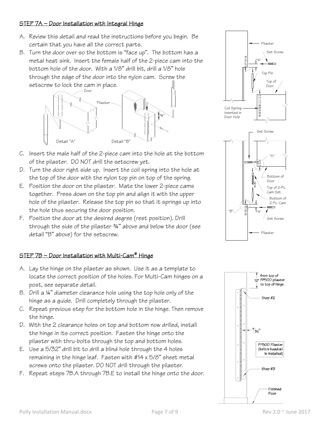#### STEP 7A — Door Installation with Integral Hinge

- A. Review this detail and read the instructions before you begin. Be certain that you have all the correct parts.
- B. Turn the door over so the bottom is "face up". The bottom has a metal heat sink. Insert the female half of the 2-piece cam into the bottom hole of the door. With a 1/8" drill bit, drill a 1/8" hole through the edge of the door into the nylon cam. Screw the setscrew to lock the cam in place.



- C. Insert the male half of the 2-piece cam into the hole at the bottom of the pilaster. DO NOT drill the setscrew yet.
- D. Turn the door right side up. Insert the coil spring into the hole at the top of the door with the nylon top pin on top of the spring.
- E. Position the door on the pilaster. Mate the lower 2-piece cams together. Press down on the top pin and align it with the upper hole of the pilaster. Release the top pin so that it springs up into the hole thus securing the door position.
- F. Position the door at the desired degree (rest position). Drill through the side of the pilaster ¾" above and below the door (see detail "B" above) for the setscrew.

#### STEP 7B — Door Installation with Multi-Cam® Hinge

- A. Lay the hinge on the pilaster as shown. Use it as a template to locate the correct position of the holes. For Multi-Cam hinges on a post, see separate detail.
- B. Drill a ¼" diameter clearance hole using the top hole only of the hinge as a guide. Drill completely through the pilaster.
- C. Repeat previous step for the bottom hole in the hinge. Then remove the hinge.
- D. With the 2 clearance holes on top and bottom now drilled, install the hinge in its correct position. Fasten the hinge onto the pilaster with thru-bolts through the top and bottom holes.
- E. Use a 5/32" drill bit to drill a blind hole through the 4 holes remaining in the hinge leaf. Fasten with  $#14 \times 5/8"$  sheet metal screws onto the pilaster. DO NOT drill through the pilaster.
- F. Repeat steps 7B.A through 7B.E to install the hinge onto the door.





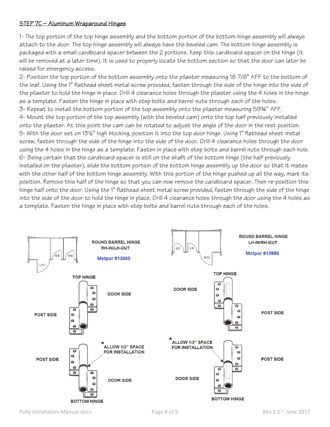#### STEP 7C — Aluminum Wraparound Hinges

1- The top portion of the top hinge assembly and the bottom portion of the bottom hinge assembly will always attach to the door. The top hinge assembly will always have the beveled cam. The bottom hinge assembly is packaged with a small cardboard spacer between the 2 portions. Keep this cardboard spacer on the hinge (it will be removed at a later time). It is used to properly locate the bottom section so that the door can later be raised for emergency access.

2- Position the top portion of the bottom assembly onto the pilaster measuring 18 7/8" AFF to the bottom of the leaf. Using the 1" flathead sheet metal screw provided, fasten through the side of the hinge into the side of the pilaster to hold the hinge in place. Drill 4 clearance holes through the pilaster using the 4 holes in the hinge as a template. Fasten the hinge in place with step bolts and barrel nuts through each of the holes. 3- Repeat to install the bottom portion of the top assembly onto the pilaster measuring 59¾" AFF. 4- Mount the top portion of the top assembly (with the beveled cam) onto the top half previously installed onto the pilaster. At this point the cam can be rotated to adjust the angle of the door in the rest position. 5- With the door set on 13½" high blocking, position it into the top door hinge. Using 1" flathead sheet metal screw, fasten through the side of the hinge into the side of the door. Drill 4 clearance holes through the door using the 4 holes in the hinge as a template. Fasten in place with step bolts and barrel nuts through each hole. 6- Being certain that the cardboard spacer is still on the shaft of the bottom hinge (the half previously installed on the pilaster), slide the bottom portion of the bottom hinge assembly up the door so that it mates with the other half of the bottom hinge assembly. With this portion of the hinge pushed up all the way, mark its position. Remove this half of the hinge so that you can now remove the cardboard spacer. Then re-position this hinge half onto the door. Using the 1" flathead sheet metal screw provided, fasten through the side of the hinge into the side of the door to hold the hinge in place. Drill 4 clearance holes through the door using the 4 holes as a template. Fasten the hinge in place with step bolts and barrel nuts through each of the holes.